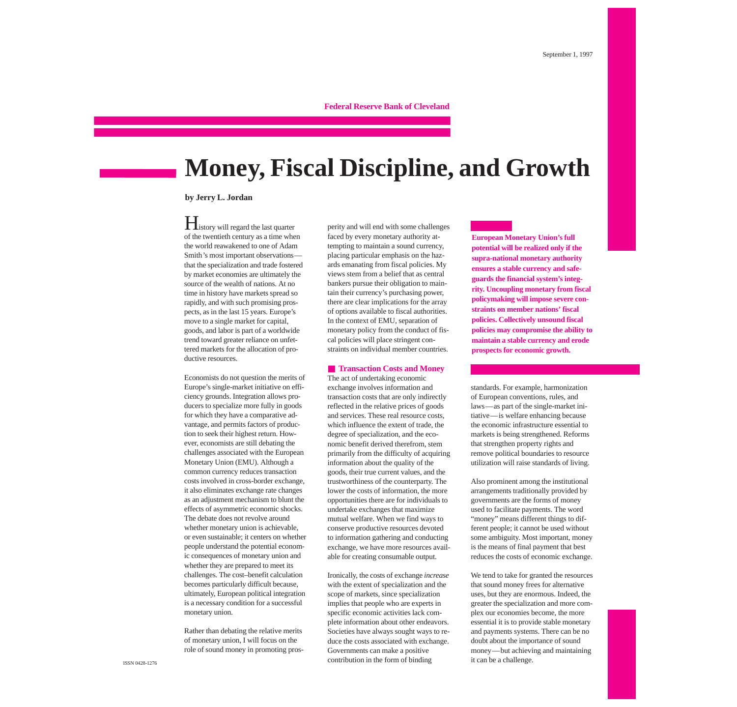# **Federal Reserve Bank of Cleveland**

# **Money, Fiscal Discipline, and Growth**

**by Jerry L. Jordan**

History will regard the last quarter of the twentieth century as a time when the world reawakened to one of Adam Smith's most important observations that the specialization and trade fostered by market economies are ultimately the source of the wealth of nations. At no time in history have markets spread so rapidly, and with such promising prospects, as in the last 15 years. Europe's move to a single market for capital, goods, and labor is part of a worldwide trend toward greater reliance on unfettered markets for the allocation of productive resources.

Economists do not question the merits of Europe's single-market initiative on efficiency grounds. Integration allows producers to specialize more fully in goods for which they have a comparative advantage, and permits factors of production to seek their highest return. However, economists are still debating the challenges associated with the European Monetary Union (EMU). Although a common currency reduces transaction costs involved in cross-border exchange, it also eliminates exchange rate changes as an adjustment mechanism to blunt the effects of asymmetric economic shocks. The debate does not revolve around whether monetary union is achievable, or even sustainable; it centers on whether people understand the potential economic consequences of monetary union and whether they are prepared to meet its challenges. The cost–benefit calculation becomes particularly difficult because, ultimately, European political integration is a necessary condition for a successful monetary union.

Rather than debating the relative merits of monetary union, I will focus on the role of sound money in promoting prosperity and will end with some challenges faced by every monetary authority attempting to maintain a sound currency, placing particular emphasis on the hazards emanating from fiscal policies. My views stem from a belief that as central bankers pursue their obligation to maintain their currency's purchasing power, there are clear implications for the array of options available to fiscal authorities. In the context of EMU, separation of monetary policy from the conduct of fiscal policies will place stringent constraints on individual member countries.

#### ■ **Transaction Costs and Money**

The act of undertaking economic exchange involves information and transaction costs that are only indirectly reflected in the relative prices of goods and services. These real resource costs, which influence the extent of trade, the degree of specialization, and the economic benefit derived therefrom, stem primarily from the difficulty of acquiring information about the quality of the goods, their true current values, and the trustworthiness of the counterparty. The lower the costs of information, the more opportunities there are for individuals to undertake exchanges that maximize mutual welfare. When we find ways to conserve productive resources devoted to information gathering and conducting exchange, we have more resources available for creating consumable output.

Ironically, the costs of exchange *increase* with the extent of specialization and the scope of markets, since specialization implies that people who are experts in specific economic activities lack complete information about other endeavors. Societies have always sought ways to reduce the costs associated with exchange. Governments can make a positive contribution in the form of binding

**European Monetary Union's full potential will be realized only if the supra-national monetary authority ensures a stable currency and safeguards the financial system's integrity. Uncoupling monetary from fiscal policymaking will impose severe constraints on member nations' fiscal policies. Collectively unsound fiscal policies may compromise the ability to maintain a stable currency and erode prospects for economic growth.**

standards. For example, harmonization of European conventions, rules, and laws—as part of the single-market initiative—is welfare enhancing because the economic infrastructure essential to markets is being strengthened. Reforms that strengthen property rights and remove political boundaries to resource utilization will raise standards of living.

Also prominent among the institutional arrangements traditionally provided by governments are the forms of money used to facilitate payments. The word "money" means different things to different people; it cannot be used without some ambiguity. Most important, money is the means of final payment that best reduces the costs of economic exchange.

We tend to take for granted the resources that sound money frees for alternative uses, but they are enormous. Indeed, the greater the specialization and more complex our economies become, the more essential it is to provide stable monetary and payments systems. There can be no doubt about the importance of sound money—but achieving and maintaining it can be a challenge.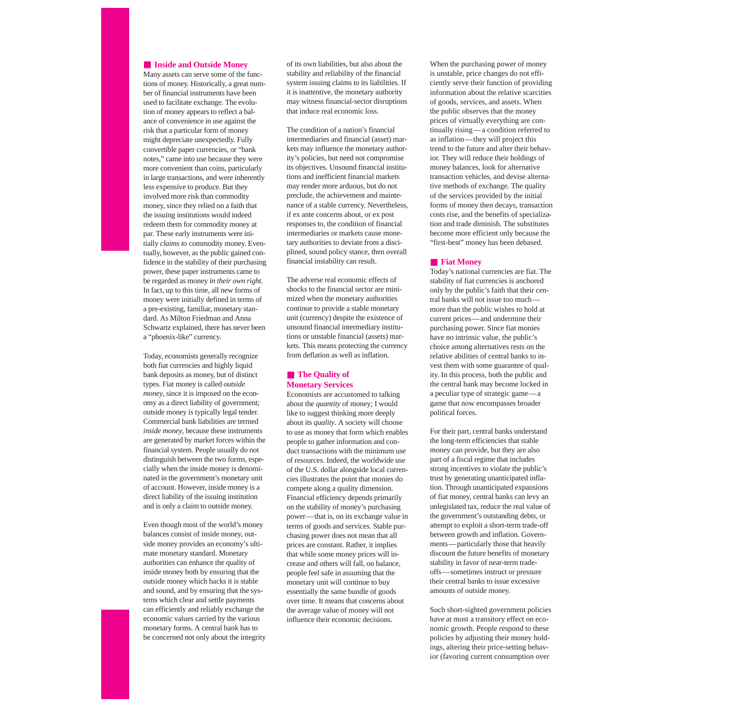#### ■ **Inside and Outside Money**

Many assets can serve some of the functions of money. Historically, a great number of financial instruments have been used to facilitate exchange. The evolution of money appears to reflect a balance of convenience in use against the risk that a particular form of money might depreciate unexpectedly. Fully convertible paper currencies, or "bank notes," came into use because they were more convenient than coins, particularly in large transactions, and were inherently less expensive to produce. But they involved more risk than commodity money, since they relied on a faith that the issuing institutions would indeed redeem them for commodity money at par. These early instruments were initially *claims to* commodity money. Eventually, however, as the public gained confidence in the stability of their purchasing power, these paper instruments came to be regarded as money *in their own right.* In fact, up to this time, all new forms of money were initially defined in terms of a pre-existing, familiar, monetary standard. As Milton Friedman and Anna Schwartz explained, there has never been a "phoenix-like" currency.

Today, economists generally recognize both fiat currencies and highly liquid bank deposits as money, but of distinct types. Fiat money is called *outside money*, since it is imposed on the economy as a direct liability of government; outside money is typically legal tender. Commercial bank liabilities are termed *inside money*, because these instruments are generated by market forces within the financial system. People usually do not distinguish between the two forms, especially when the inside money is denominated in the government's monetary unit of account. However, inside money is a direct liability of the issuing institution and is only a claim to outside money.

Even though most of the world's money balances consist of inside money, outside money provides an economy's ultimate monetary standard. Monetary authorities can enhance the quality of inside money both by ensuring that the outside money which backs it is stable and sound, and by ensuring that the systems which clear and settle payments can efficiently and reliably exchange the economic values carried by the various monetary forms. A central bank has to be concerned not only about the integrity

of its own liabilities, but also about the stability and reliability of the financial system issuing claims to its liabilities. If it is inattentive, the monetary authority may witness financial-sector disruptions that induce real economic loss.

The condition of a nation's financial intermediaries and financial (asset) markets may influence the monetary authority's policies, but need not compromise its objectives. Unsound financial institutions and inefficient financial markets may render more arduous, but do not preclude, the achievement and maintenance of a stable currency. Nevertheless, if ex ante concerns about, or ex post responses to, the condition of financial intermediaries or markets cause monetary authorities to deviate from a disciplined, sound policy stance, then overall financial instability can result.

The adverse real economic effects of shocks to the financial sector are minimized when the monetary authorities continue to provide a stable monetary unit (currency) despite the existence of unsound financial intermediary institutions or unstable financial (assets) markets. This means protecting the currency from deflation as well as inflation.

# ■ **The Quality of Monetary Services**

Economists are accustomed to talking about the *quantity* of money; I would like to suggest thinking more deeply about its *quality*. A society will choose to use as money that form which enables people to gather information and conduct transactions with the minimum use of resources. Indeed, the worldwide use of the U.S. dollar alongside local currencies illustrates the point that monies do compete along a quality dimension. Financial efficiency depends primarily on the stability of money's purchasing power—that is, on its exchange value in terms of goods and services. Stable purchasing power does not mean that all prices are constant. Rather, it implies that while some money prices will increase and others will fall, on balance, people feel safe in assuming that the monetary unit will continue to buy essentially the same bundle of goods over time. It means that concerns about the average value of money will not influence their economic decisions.

When the purchasing power of money is unstable, price changes do not efficiently serve their function of providing information about the relative scarcities of goods, services, and assets. When the public observes that the money prices of virtually everything are continually rising—a condition referred to as inflation—they will project this trend to the future and alter their behavior. They will reduce their holdings of money balances, look for alternative transaction vehicles, and devise alternative methods of exchange. The quality of the services provided by the initial forms of money then decays, transaction costs rise, and the benefits of specialization and trade diminish. The substitutes become more efficient only because the "first-best" money has been debased.

#### ■ **Fiat Money**

Today's national currencies are fiat. The stability of fiat currencies is anchored only by the public's faith that their central banks will not issue too much more than the public wishes to hold at current prices—and undermine their purchasing power. Since fiat monies have no intrinsic value, the public's choice among alternatives rests on the relative abilities of central banks to invest them with some guarantee of quality. In this process, both the public and the central bank may become locked in a peculiar type of strategic game—a game that now encompasses broader political forces.

For their part, central banks understand the long-term efficiencies that stable money can provide, but they are also part of a fiscal regime that includes strong incentives to violate the public's trust by generating unanticipated inflation. Through unanticipated expansions of fiat money, central banks can levy an unlegislated tax, reduce the real value of the government's outstanding debts, or attempt to exploit a short-term trade-off between growth and inflation. Governments—particularly those that heavily discount the future benefits of monetary stability in favor of near-term tradeoffs—sometimes instruct or pressure their central banks to issue excessive amounts of outside money.

Such short-sighted government policies have at most a transitory effect on economic growth. People respond to these policies by adjusting their money holdings, altering their price-setting behavior (favoring current consumption over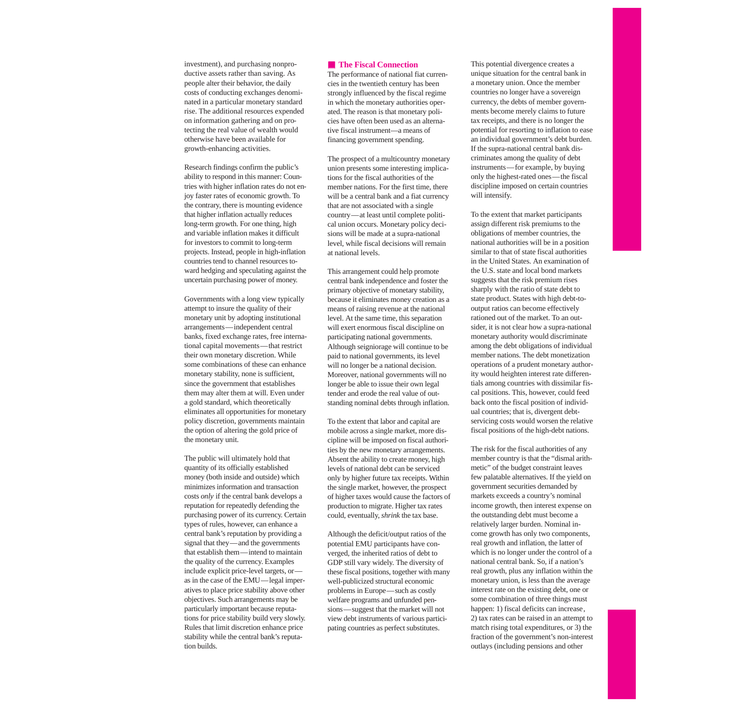investment), and purchasing nonproductive assets rather than saving. As people alter their behavior, the daily costs of conducting exchanges denominated in a particular monetary standard rise. The additional resources expended on information gathering and on protecting the real value of wealth would otherwise have been available for growth-enhancing activities.

Research findings confirm the public's ability to respond in this manner: Countries with higher inflation rates do not enjoy faster rates of economic growth. To the contrary, there is mounting evidence that higher inflation actually reduces long-term growth. For one thing, high and variable inflation makes it difficult for investors to commit to long-term projects. Instead, people in high-inflation countries tend to channel resources toward hedging and speculating against the uncertain purchasing power of money.

Governments with a long view typically attempt to insure the quality of their monetary unit by adopting institutional arrangements—independent central banks, fixed exchange rates, free international capital movements—that restrict their own monetary discretion. While some combinations of these can enhance monetary stability, none is sufficient, since the government that establishes them may alter them at will. Even under a gold standard, which theoretically eliminates all opportunities for monetary policy discretion, governments maintain the option of altering the gold price of the monetary unit.

The public will ultimately hold that quantity of its officially established money (both inside and outside) which minimizes information and transaction costs *only* if the central bank develops a reputation for repeatedly defending the purchasing power of its currency. Certain types of rules, however, can enhance a central bank's reputation by providing a signal that they—and the governments that establish them—intend to maintain the quality of the currency. Examples include explicit price-level targets, or as in the case of the EMU—legal imperatives to place price stability above other objectives. Such arrangements may be particularly important because reputations for price stability build very slowly. Rules that limit discretion enhance price stability while the central bank's reputation builds.

### ■ **The Fiscal Connection**

The performance of national fiat currencies in the twentieth century has been strongly influenced by the fiscal regime in which the monetary authorities operated. The reason is that monetary policies have often been used as an alternative fiscal instrument—a means of financing government spending.

The prospect of a multicountry monetary union presents some interesting implications for the fiscal authorities of the member nations. For the first time, there will be a central bank and a fiat currency that are not associated with a single country—at least until complete political union occurs. Monetary policy decisions will be made at a supra-national level, while fiscal decisions will remain at national levels.

This arrangement could help promote central bank independence and foster the primary objective of monetary stability, because it eliminates money creation as a means of raising revenue at the national level. At the same time, this separation will exert enormous fiscal discipline on participating national governments. Although seigniorage will continue to be paid to national governments, its level will no longer be a national decision. Moreover, national governments will no longer be able to issue their own legal tender and erode the real value of outstanding nominal debts through inflation.

To the extent that labor and capital are mobile across a single market, more discipline will be imposed on fiscal authorities by the new monetary arrangements. Absent the ability to create money, high levels of national debt can be serviced only by higher future tax receipts. Within the single market, however, the prospect of higher taxes would cause the factors of production to migrate. Higher tax rates could, eventually, *shrink* the tax base.

Although the deficit/output ratios of the potential EMU participants have converged, the inherited ratios of debt to GDP still vary widely. The diversity of these fiscal positions, together with many well-publicized structural economic problems in Europe—such as costly welfare programs and unfunded pensions—suggest that the market will not view debt instruments of various participating countries as perfect substitutes.

This potential divergence creates a unique situation for the central bank in a monetary union. Once the member countries no longer have a sovereign currency, the debts of member governments become merely claims to future tax receipts, and there is no longer the potential for resorting to inflation to ease an individual government's debt burden. If the supra-national central bank discriminates among the quality of debt instruments—for example, by buying only the highest-rated ones—the fiscal discipline imposed on certain countries will intensify.

To the extent that market participants assign different risk premiums to the obligations of member countries, the national authorities will be in a position similar to that of state fiscal authorities in the United States. An examination of the U.S. state and local bond markets suggests that the risk premium rises sharply with the ratio of state debt to state product. States with high debt-tooutput ratios can become effectively rationed out of the market. To an outsider, it is not clear how a supra-national monetary authority would discriminate among the debt obligations of individual member nations. The debt monetization operations of a prudent monetary authority would heighten interest rate differentials among countries with dissimilar fiscal positions. This, however, could feed back onto the fiscal position of individual countries; that is, divergent debtservicing costs would worsen the relative fiscal positions of the high-debt nations.

The risk for the fiscal authorities of any member country is that the "dismal arithmetic" of the budget constraint leaves few palatable alternatives. If the yield on government securities demanded by markets exceeds a country's nominal income growth, then interest expense on the outstanding debt must become a relatively larger burden. Nominal income growth has only two components, real growth and inflation, the latter of which is no longer under the control of a national central bank. So, if a nation's real growth, plus any inflation within the monetary union, is less than the average interest rate on the existing debt, one or some combination of three things must happen: 1) fiscal deficits can increase, 2) tax rates can be raised in an attempt to match rising total expenditures, or 3) the fraction of the government's non-interest outlays (including pensions and other